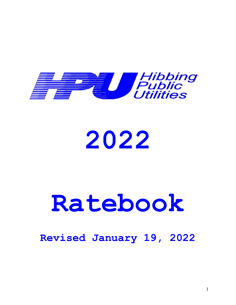

# **2022**

# **Ratebook**

# **Revised January 19, 2022**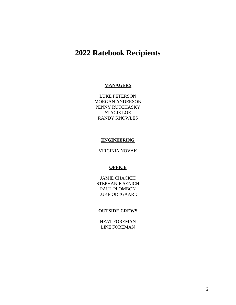# **2022 Ratebook Recipients**

# **MANAGERS**

LUKE PETERSON MORGAN ANDERSON PENNY RUTCHASKY STACIE LOE RANDY KNOWLES

# **ENGINEERING**

VIRGINIA NOVAK

# **OFFICE**

JAMIE CHACICH STEPHANIE SENICH PAUL PLOMBON LUKE ODEGAARD

# **OUTSIDE CREWS**

HEAT FOREMAN LINE FOREMAN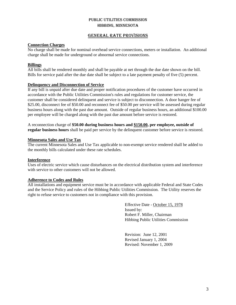# GENERAL RATE PROVISIONS

# **Connection Charges**

No charge shall be made for nominal overhead service connections, meters or installation. An additional charge shall be made for underground or abnormal service connections.

# **Billings**

All bills shall be rendered monthly and shall be payable at net through the due date shown on the bill. Bills for service paid after the due date shall be subject to a late payment penalty of five (5) percent.

# **Delinquency and Disconnection of Service**

If any bill is unpaid after due date and proper notification procedures of the customer have occurred in accordance with the Public Utilities Commission's rules and regulations for customer service, the customer shall be considered delinquent and service is subject to disconnection. A door hanger fee of \$25.00, disconnect fee of \$50.00 and reconnect fee of \$50.00 per service will be assessed during regular business hours along with the past due amount. Outside of regular business hours, an additional \$100.00 per employee will be charged along with the past due amount before service is restored.

A reconnection charge of **\$50.00 during business hours and \$150.00, per employee, outside of regular business hours** shall be paid per service by the delinquent customer before service is restored.

# **Minnesota Sales and Use Tax**

The current Minnesota Sales and Use Tax applicable to non-exempt service rendered shall be added to the monthly bills calculated under these rate schedules.

# **Interference**

Uses of electric service which cause disturbances on the electrical distribution system and interference with service to other customers will not be allowed.

# **Adherence to Codes and Rules**

All installations and equipment service must be in accordance with applicable Federal and State Codes and the Service Policy and rules of the Hibbing Public Utilities Commission. The Utility reserves the right to refuse service to customers not in compliance with this provision.

> Effective Date - October 15, 1978 Issued by: Robert F. Miller, Chairman Hibbing Public Utilities Commission

Revision: June 12, 2001 Revised January 1, 2004 Revised: November 1, 2009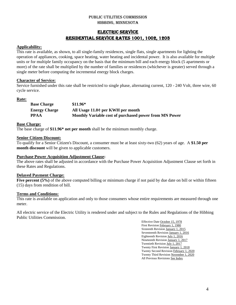# ELECTRIC SERVICE RESIDENTIAL SERVICE RATES 1001, 1002, 1203

# **Applicability:**

This rate is available, as shown, to all single-family residences, single flats, single apartments for lighting the operation of appliances, cooking, space heating, water heating and incidental power. It is also available for multiple units or for multiple family occupancy on the basis that the minimum bill and each energy block (5 apartments or more) of the rate shall be multiplied by the number of families or residences (whichever is greater) served through a single meter before computing the incremental energy block charges.

# **Character of Service:**

Service furnished under this rate shall be restricted to single phase, alternating current, 120 - 240 Volt, three wire, 60 cycle service.

# **Rate:**

| <b>Base Charge</b>   | $$11.96*$                                              |
|----------------------|--------------------------------------------------------|
| <b>Energy Charge</b> | All Usage 11.0¢ per KWH per month                      |
| <b>PPAA</b>          | Monthly Variable cost of purchased power from MN Power |

# **Base Charge:**

The base charge of **\$11.96\* net per month** shall be the minimum monthly charge.

# **Senior Citizen Discount:**

To qualify for a Senior Citizen's Discount, a consumer must be at least sixty-two (62) years of age. A **\$1.50 per month discount** will be given to applicable customers.

# **Purchase Power Acquisition Adjustment Clause:**

The above rates shall be adjusted in accordance with the Purchase Power Acquisition Adjustment Clause set forth in these Rates and Regulations.

# **Delayed Payment Charge:**

**Five percent (5%)** of the above computed billing or minimum charge if not paid by due date on bill or within fifteen (15) days from rendition of bill.

# **Terms and Conditions:**

This rate is available on application and only to those consumers whose entire requirements are measured through one meter.

All electric service of the Electric Utility is rendered under and subject to the Rules and Regulations of the Hibbing Public Utilities Commission.

> Effective Date October 15, 1978 First Revision February 1, 1980 Sixteenth Revision January 1, 2015 Seventeenth Revision January 1, 2016 Eighteenth Revision July 1, 2016 Nineteenth Revision January 1, 2017 Twentieth Revision July 1, 2017 Twenty First Revision January 1, 2018 Twenty Second Revision February 1, 2020 Twenty Third Revision November 1, 2020 All Previous Revisions See Index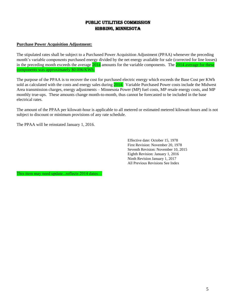# Public Utilities Commission Hibbing, Minnesota

# **Purchase Power Acquisition Adjustment:**

The stipulated rates shall be subject to a Purchased Power Acquisition Adjustment (PPAA) whenever the preceding month's variable components purchased energy divided by the net energy available for sale (corrected for line losses) in the preceding month exceeds the average 2014 amounts for the variable components. The 2014 average for these components was approximately \$0.006/KWh.

The purpose of the PPAA is to recover the cost for purchased electric energy which exceeds the Base Cost per KWh sold as calculated with the costs and energy sales during 2014. Variable Purchased Power costs include the Midwest Area transmission charges, energy adjustments – Minnesota Power (MP) fuel costs, MP resale energy costs, and MP monthly true-ups. These amounts change month-to-month, thus cannot be forecasted to be included in the base electrical rates.

The amount of the PPAA per kilowatt-hour is applicable to all metered or estimated metered kilowatt-hours and is not subject to discount or minimum provisions of any rate schedule.

The PPAA will be reinstated January 1, 2016.

Effective date: October 15, 1978 First Revision: November 20, 1978 Seventh Revision: November 10, 2015 Eighth Revision: January 1, 2016 Ninth Revision January 1, 2017 All Previous Revisions See Index

This item may need update...reflects 2014 dates…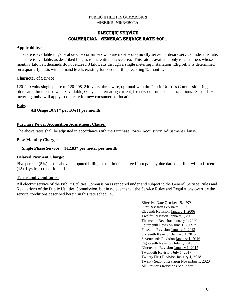# ELECTRIC SERVICE Commercial - GENERAL SERVICE RATE 2001

# **Applicability:**

This rate is available to general service consumers who are most economically served or desire service under this rate. This rate is available, as described herein, to the entire service area. This rate is available only to customers whose monthly kilowatt demands do not exceed 8 kilowatts through a single metering installation. Eligibility is determined on a quarterly basis with demand levels existing for seven of the preceding 12 months.

# **Character of Service:**

120-240 volts single phase or 120-208, 240 volts, three wire, optional with the Public Utilities Commission single phase and three-phase where available, 60 cycle alternating current, for new consumers or installations. Secondary metering, only, will apply to this rate for new consumers or locations.

# **Rate:**

# **All Usage 10.91¢ per KWH per month**

# **Purchase Power Acquisition Adjustment Clause:**

The above rates shall be adjusted in accordance with the Purchase Power Acquisition Adjustment Clause.

# **Base Monthly Charge:**

 **Single Phase Service \$12.83\* per meter per month**

# **Delayed Payment Charge:**

Five percent (5%) of the above computed billing or minimum charge if not paid by due date on bill or within fifteen (15) days from rendition of bill.

# **Terms and Conditions:**

All electric service of the Public Utilities Commission is rendered under and subject to the General Service Rules and Regulations of the Public Utilities Commission, but in no event shall the Service Rules and Regulations override the service conditions described herein in this rate schedule.

> Effective Date October 15, 1978 First Revision February 1, 1980 Eleventh Revision January 1, 2006 Twelfth Revision January 1, 2008 Thirteenth Revision January 1, 2009 Fourteenth Revision June 1, 2009 \* Fifteenth Revision January 1, 2013 Sixteenth Revision January 1, 2015 Seventeenth Revision January 1, 2016 Eighteenth Revision July 1, 2016 Nineteenth Revision January 1, 2017 Twentieth Revision July 1, 2017 Twenty First Revision January 1, 2018 Twenty Second Revision November 1, 2020 All Previous Revisions See Index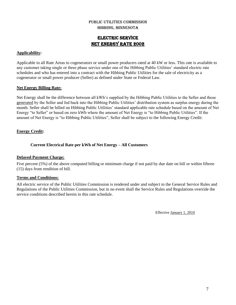# ELECTRIC SERVICE NET ENERGY RATE 2002

# **Applicability:**

Applicable in all Rate Areas to cogenerators or small power producers rated at 40 kW or less. This rate is available to any customer taking single or three phase service under one of the Hibbing Public Utilities' standard electric rate schedules and who has entered into a contract with the Hibbing Public Utilities for the sale of electricity as a cogenerator or small power producer (Seller) as defined under State or Federal Law.

# **Net Energy Billing Rate:**

Net Energy shall be the difference between all kWh's supplied by the Hibbing Public Utilities to the Seller and those generated by the Seller and fed back into the Hibbing Public Utilities' distribution system as surplus energy during the month. Seller shall be billed on Hibbing Public Utilities' standard applicable rate schedule based on the amount of Net Energy "to Seller" or based on zero kWh where the amount of Net Energy is "to Hibbing Public Utilities". If the amount of Net Energy is "to Hibbing Public Utilities", Seller shall be subject to the following Energy Credit:

# **Energy Credit:**

# **Current Electrical Rate per kWh of Net Energy – All Customers**

# **Delayed Payment Charge:**

Five percent (5%) of the above computed billing or minimum charge if not paid by due date on bill or within fifteen (15) days from rendition of bill.

# **Terms and Conditions:**

All electric service of the Public Utilities Commission is rendered under and subject to the General Service Rules and Regulations of the Public Utilities Commission, but in no event shall the Service Rules and Regulations override the service conditions described herein in this rate schedule.

Effective January 1, 2010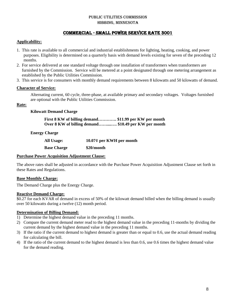# Commercial - SMALL POWER SERVICE RATE 3001

# **Applicability:**

- 1. This rate is available to all commercial and industrial establishments for lighting, heating, cooking, and power purposes. Eligibility is determined on a quarterly basis with demand levels existing for seven of the preceding 12 months.
- 2. For service delivered at one standard voltage through one installation of transformers when transformers are furnished by the Commission. Service will be metered at a point designated through one metering arrangement as established by the Public Utilities Commission.
- 3. This service is for consumers with monthly demand requirements between 8 kilowatts and 50 kilowatts of demand.

# **Character of Service:**

Alternating current, 60 cycle, three-phase, at available primary and secondary voltages. Voltages furnished are optional with the Public Utilities Commission.

# **Rate:**

# **Kilowatt Demand Charge**

**First 8 KW of billing demand…………. \$11.99 per KW per month Over 8 KW of billing demand……....…. \$10.49 per KW per month**

# **Energy Charge**

| <b>All Usage:</b>  | 10.07¢ per KWH per month |
|--------------------|--------------------------|
| <b>Base Charge</b> | \$20/month               |

# **Purchase Power Acquisition Adjustment Clause:**

The above rates shall be adjusted in accordance with the Purchase Power Acquisition Adjustment Clause set forth in these Rates and Regulations.

# **Base Monthly Charge:**

The Demand Charge plus the Energy Charge.

# **Reactive Demand Charge:**

\$0.27 for each KVAR of demand in excess of 50% of the kilowatt demand billed when the billing demand is usually over 50 kilowatts during a twelve (12) month period.

# **Determination of Billing Demand:**

- 1) Determine the highest demand value in the preceding 11 months.
- 2) Compare the current demand meter read to the highest demand value in the preceding 11-months by dividing the current demand by the highest demand value in the preceding 11 months.
- 3) If the ratio if the current demand to highest demand is greater than or equal to 0.6, use the actual demand reading for calculating the bill.
- 4) If the ratio of the current demand to the highest demand is less than 0.6, use 0.6 times the highest demand value for the demand reading.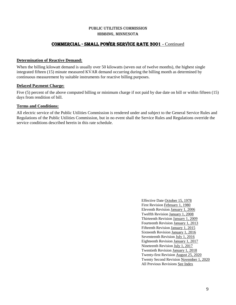# Commercial - SMALL POWER SERVICE RATE 3001 **-** Continued

# **Determination of Reactive Demand:**

When the billing kilowatt demand is usually over 50 kilowatts (seven out of twelve months), the highest single integrated fifteen (15) minute measured KVAR demand occurring during the billing month as determined by continuous measurement by suitable instruments for reactive billing purposes.

# **Delayed Payment Charge:**

Five (5) percent of the above computed billing or minimum charge if not paid by due date on bill or within fifteen (15) days from rendition of bill.

# **Terms and Conditions:**

All electric service of the Public Utilities Commission is rendered under and subject to the General Service Rules and Regulations of the Public Utilities Commission, but in no event shall the Service Rules and Regulations override the service conditions described herein in this rate schedule.

> Effective Date October 15, 1978 First Revision February 1, 1980 Eleventh Revision January 1, 2006 Twelfth Revision January 1, 2008 Thirteenth Revision January 1, 2009 Fourteenth Revision January 1, 2013 Fifteenth Revision January 1, 2015 Sixteenth Revision January 1, 2016 Seventeenth Revision July 1, 2016 Eighteenth Revision January 1, 2017 Nineteenth Revision July 1, 2017 Twentieth Revision January 1, 2018 Twenty-first Revision August 25, 2020 Twenty Second Revision November 1, 2020 All Previous Revisions See Index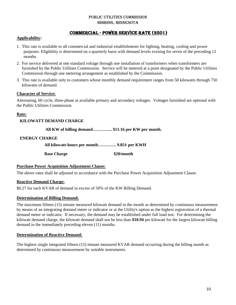# PUBLIC UTILITIES COMMISSION Hibbing, Minnesota

# Commercial - POWER SERVICE RATE (2501)

# **Applicability:**

- 1. This rate is available to all commercial and industrial establishments for lighting, heating, cooling and power purposes. Eligibility is determined on a quarterly basis with demand levels existing for seven of the preceding 12 months.
- 2. For service delivered at one standard voltage through one installation of transformers when transformers are furnished by the Public Utilities Commission. Service will be metered at a point designated by the Public Utilities Commission through one metering arrangement as established by the Commission.
- 3. This rate is available only to customers whose monthly demand requirement ranges from 50 kilowatts through 750 kilowatts of demand.

# **Character of Service:**

Alternating, 60 cycle, three-phase at available primary and secondary voltages. Voltages furnished are optional with the Public Utilities Commission.

# **Rate:**

# **KILOWATT DEMAND CHARGE**

 **All KW of billing demand………….. \$11.16 per KW per month.**

# **ENERGY CHARGE**

**All kilowatt-hours per month…………. 9.85¢ per KWH**

**Base Charge \$20/month**

# **Purchase Power Acquisition Adjustment Clause:**

The above rates shall be adjusted in accordance with the Purchase Power Acquisition Adjustment Clause.

# **Reactive Demand Charge:**

\$0.27 for each KVAR of demand in excess of 50% of the KW Billing Demand.

# **Determination of Billing Demand:**

The maximum fifteen (15) minute measured kilowatt demand in the month as determined by continuous measurement by means of an integrating demand meter or indicator or at the Utility's option as the highest registration of a thermal demand meter or indicator. If necessary, the demand may be established under full load test. For determining the kilowatt demand charge, the kilowatt demand shall not be less than **\$10.94** per kilowatt for the largest kilowatt billing demand in the immediately preceding eleven (11) months.

# **Determination of Reactive Demand:**

The highest single integrated fifteen (15) minute measured KVAR demand occurring during the billing month as determined by continuous measurement by suitable instruments.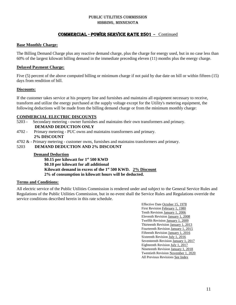# Commercial - POWER SERVICE RATE 2501 **-** Continued

# **Base Monthly Charge:**

The Billing Demand Charge plus any reactive demand charge, plus the charge for energy used, but in no case less than 60% of the largest kilowatt billing demand in the immediate preceding eleven (11) months plus the energy charge.

# **Delayed Payment Charge:**

Five (5) percent of the above computed billing or minimum charge if not paid by due date on bill or within fifteen (15) days from rendition of bill.

# **Discounts:**

If the customer takes service at his property line and furnishes and maintains all equipment necessary to receive, transform and utilize the energy purchased at the supply voltage except for the Utility's metering equipment, the following deductions will be made from the billing demand charge or from the minimum monthly charge:

# **COMMERCIAL ELECTRIC DISCOUNTS**

- 5203 Secondary metering owner furnishes and maintains their own transformers and primary.  **DEMAND DEDUCTION ONLY**
- 4702 Primary metering PUC owns and maintains transformers and primary. **2% DISCOUNT**
- 4702 & Primary metering customer owns, furnishes and maintains transformers and primary.
- 5203 **DEMAND DEDUCTION AND 2% DISCOUNT**

# **Demand Deduction**

 **\$0.15 per kilowatt for 1 st 500 KWD \$0.10 per kilowatt for all additional Kilowatt demand in excess of the 1st 500 KWD. 2% Discount 2% of consumption in kilowatt hours will be deducted.**

# **Terms and Conditions:**

All electric service of the Public Utilities Commission is rendered under and subject to the General Service Rules and Regulations of the Public Utilities Commission, but in no event shall the Service Rules and Regulations override the service conditions described herein in this rate schedule.

> Effective Date October 15, 1978 First Revision February 1, 1980 Tenth Revision January 1, 2006 Eleventh Revision January 1, 2008 Twelfth Revision January 1, 2009 Thirteenth Revision January 1, 2013 Fourteenth Revision January 1, 2015 Fifteenth Revision January 1, 2016 Sixteenth Revision July 1, 2016 Seventeenth Revision January 1, 2017 Eighteenth Revision July 1, 2017 Nineteenth Revision January 1, 2018 Twentieth Revision November 1, 2020 All Previous Revisions See Index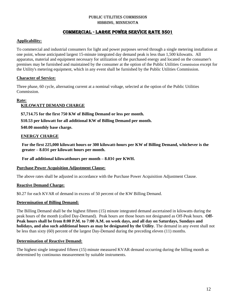# Commercial - LARGE POWER SERVICE RATE 3501

# **Applicability:**

To commercial and industrial consumers for light and power purposes served through a single metering installation at one point, whose anticipated largest 15-minute integrated day demand peak is less than 1,500 kilowatts. All apparatus, material and equipment necessary for utilization of the purchased energy and located on the consumer's premises may be furnished and maintained by the consumer at the option of the Public Utilities Commission except for the Utility's metering equipment, which in any event shall be furnished by the Public Utilities Commission.

# **Character of Service:**

Three phase, 60 cycle, alternating current at a nominal voltage, selected at the option of the Public Utilities Commission.

# **Rate:**

# **KILOWATT DEMAND CHARGE**

 **\$7,714.75 for the first 750 KW of Billing Demand or less per month.**

 **\$10.53 per kilowatt for all additional KW of Billing Demand per month.**

 **\$40.00 monthly base charge.**

# **ENERGY CHARGE**

**For the first 225,000 kilowatt hours or 300 kilowatt-hours per KW of Billing Demand, whichever is the greater – 8.03¢ per kilowatt hours per month.**

 **For all additional kilowatthours per month – 8.03¢ per KWH.**

# **Purchase Power Acquisition Adjustment Clause:**

The above rates shall be adjusted in accordance with the Purchase Power Acquisition Adjustment Clause.

# **Reactive Demand Charge:**

\$0.27 for each KVAR of demand in excess of 50 percent of the KW Billing Demand.

# **Determination of Billing Demand:**

The Billing Demand shall be the highest fifteen (15) minute integrated demand ascertained in kilowatts during the peak hours of the month (called Day-Demand). Peak hours are those hours not designated as Off-Peak hours. **Off-Peak hours shall be from 8:00 P.M. to 7:00 A.M. on week days, and all day on Saturdays, Sundays and holidays, and also such additional hours as may be designated by the Utility**. The demand in any event shall not be less than sixty (60) percent of the largest Day-Demand during the preceding eleven (11) months.

# **Determination of Reactive Demand:**

The highest single integrated fifteen (15) minute measured KVAR demand occurring during the billing month as determined by continuous measurement by suitable instruments.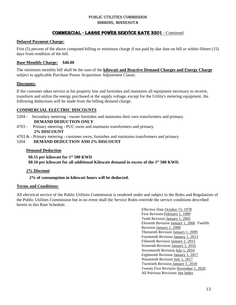# Commercial - LARGE POWER SERVICE RATE 3501 - Continued

# **Delayed Payment Charge:**

Five (5) percent of the above computed billing or minimum charge if not paid by due date on bill or within fifteen (15) days from rendition of the bill.

# **Base Monthly Charge: \$40.00**

The minimum monthly bill shall be the sum of the **kilowatt and Reactive Demand Charges and Energy Charge** subject to applicable Purchase Power Acquisition Adjustment Clause.

# **Discounts:**

If the customer takes service at his property line and furnishes and maintains all equipment necessary to receive, transform and utilize the energy purchased at the supply voltage, except for the Utility's metering equipment, the following deductions will be made from the billing demand charge:

# **COMMERCIAL ELECTRIC DISCOUNTS**

- 5204 Secondary metering owner furnishes and maintains their own transformers and primary. **DEMAND DEDUCTION ONLY**
- 4703 Primary metering PUC owns and maintains transformers and primary. **2% DISCOUNT**
- 4703 & Primary metering customer owns, furnishes and maintains transformers and primary.
- 5204 **DEMAND DEDUCTION AND 2% DISCOUNT**

# **Demand Deduction**

 **\$0.15 per kilowatt for 1st 500 KWD \$0.10 per kilowatt for all additional Kilowatt demand in excess of the 1 st 500 KWD.**

# **2% Discount**

**2% of consumption in kilowatt hours will be deducted.**

# **Terms and Conditions:**

All electrical service of the Public Utilities Commission is rendered under and subject to the Rules and Regulations of the Public Utilities Commission but in no event shall the Service Rules override the service conditions described herein in this Rate Schedule.

> Effective Date October 15, 1978 First Revision February 1, 1980 Tenth Revision January 1, 2005 Eleventh Revision January 1, 2006 Twelfth Revision January 1, 2008 Thirteenth Revision January 1, 2009 Fourteenth Revision January 1, 2013 Fifteenth Revision January 1, 2015 Sixteenth Revision January 1, 2016 Seventeenth Revision July 1, 2016 Eighteenth Revision January 1, 2017 Nineteenth Revision July 1, 2017 Twentieth Revision January 1, 2018 Twenty First Revision November 1, 2020 All Previous Revisions See Index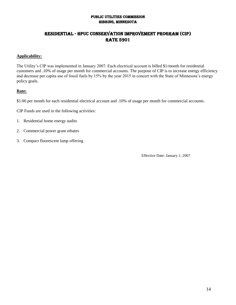# Residential - HPUC Conservation Improvement Program (CIP) **RATE 5901**

# **Applicability:**

The Utility's CIP was implemented in January 2007. Each electrical account is billed \$1/month for residential customers and .10% of usage per month for commercial accounts. The purpose of CIP is to increase energy efficiency and decrease per capita use of fossil fuels by 15% by the year 2015 in concert with the State of Minnesota's energy policy goals.

# **Rate:**

- \$1.00 per month for each residential electrical account and .10% of usage per month for commercial accounts.
- CIP Funds are used in the following activities:
- 1. Residential home energy audits
- 2. Commercial power grant rebates
- 3. Compact fluorescent lamp offering

Effective Date: January 1, 2007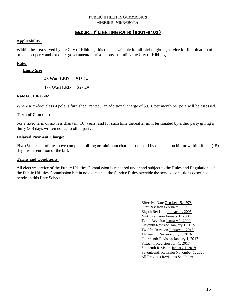# SECURITY LIGHTING RATE (6001-6402)

# **Applicability:**

Within the area served by the City of Hibbing, this rate is available for all-night lighting service for illumination of private property and for other governmental jurisdictions excluding the City of Hibbing.

# **Rate:**

# **Lamp Size**

**48 Watt LED \$13.24**

**133 Watt LED \$23.29**

# **Rate 6601 & 6602**

Where a 35-foot class 4 pole is furnished (rented), an additional charge of \$9.18 per month per pole will be assessed.

# **Term of Contract:**

For a fixed term of not less than ten (10) years, and for such time thereafter until terminated by either party giving a thirty (30) days written notice to other party.

# **Delayed Payment Charge:**

Five (5) percent of the above computed billing or minimum charge if not paid by due date on bill or within fifteen (15) days from rendition of the bill.

# **Terms and Conditions:**

All electric service of the Public Utilities Commission is rendered under and subject to the Rules and Regulations of the Public Utilities Commission but in no event shall the Service Rules override the service conditions described herein in this Rate Schedule.

> Effective Date October 15, 1978 First Revision February 1, 1980 Eighth Revision January 1, 2005 Ninth Revision January 1, 2008 Tenth Revision January 1, 2009 Eleventh Revision January 1, 2015 Twelfth Revision January 1, 2016 Thirteenth Revision July 1, 2016 Fourteenth Revision January 1, 2017 Fifteenth Revision July 1, 2017 Sixteenth Revision January 1, 2018 Seventeenth Revision November 1, 2020 All Previous Revisions See Index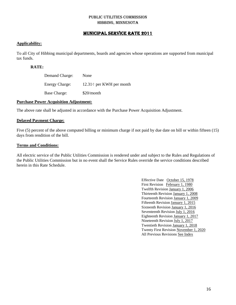# MUNICIPAL SERVICE RATE 2011

# **Applicability:**

To all City of Hibbing municipal departments, boards and agencies whose operations are supported from municipal tax funds.

# **RATE:**

| Demand Charge:        | None                           |
|-----------------------|--------------------------------|
| <b>Energy Charge:</b> | $12.31 \div$ per KWH per month |
| <b>Base Charge:</b>   | \$20/month                     |

# **Purchase Power Acquisition Adjustment:**

The above rate shall be adjusted in accordance with the Purchase Power Acquisition Adjustment.

# **Delayed Payment Charge:**

Five (5) percent of the above computed billing or minimum charge if not paid by due date on bill or within fifteen (15) days from rendition of the bill.

# **Terms and Conditions:**

All electric service of the Public Utilities Commission is rendered under and subject to the Rules and Regulations of the Public Utilities Commission but in no event shall the Service Rules override the service conditions described herein in this Rate Schedule.

> Effective Date October 15, 1978 First Revision February 1, 1980 Twelfth Revision January 1, 2006 Thirteenth Revision January 1, 2008 Fourteenth Revision January 1, 2009 Fifteenth Revision January 1, 2015 Sixteenth Revision January 1, 2016 Seventeenth Revision July 1, 2016 Eighteenth Revision January 1, 2017 Nineteenth Revision July 1, 2017 Twentieth Revision January 1, 2018 Twenty First Revision November 1, 2020 All Previous Revisions See Index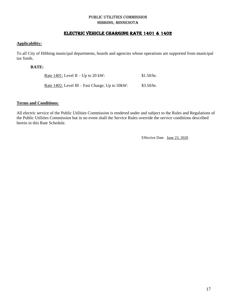# ELECTRIC VEHICLE CHARGING RATE 1401 & 1402

# **Applicability:**

To all City of Hibbing municipal departments, boards and agencies whose operations are supported from municipal tax funds.

# **RATE:**

| <u>Rate 1401:</u> Level II – Up to 20 kW:          | \$1.50/hr. |
|----------------------------------------------------|------------|
| Rate $1402$ : Level III – Fast Charge; Up to 50kW: | \$3.50/hr. |

# **Terms and Conditions:**

All electric service of the Public Utilities Commission is rendered under and subject to the Rules and Regulations of the Public Utilities Commission but in no event shall the Service Rules override the service conditions described herein in this Rate Schedule.

Effective Date June 23, 2020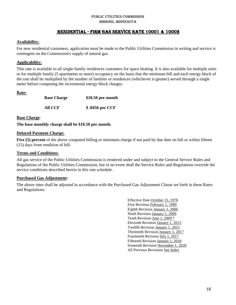#### PUBLIC UTILITIES COMMISSION Hibbing, MINNESOTA

# Residential - FIRM GAS SERVICE RATE 10001 & 10002

# **Availability:**

For new residential customers, application must be made to the Public Utilities Commission in writing and service is contingent on the Commission's supply of natural gas.

# **Applicability:**

This rate is available to all single-family residences customers for space heating. It is also available for multiple units or for multiple family (5 apartments or more) occupancy on the basis that the minimum bill and each energy block of the rate shall be multiplied by the number of families or residences (whichever is greater) served through a single meter before computing the incremental energy block charges.

# **Rate:**

| <b>Base Charge</b> | $$10.50$ per month |
|--------------------|--------------------|
| All CCF            | \$.8456 per CCF    |

#### **Base Charge**:

**The base monthly charge shall be \$10.50 per month.**

# **Delayed Payment Charge:**

**Five (5) percent** of the above computed billing or minimum charge if not paid by due date on bill or within fifteen (15) days from rendition of bill.

# **Terms and Conditions:**

All gas service of the Public Utilities Commission is rendered under and subject to the General Service Rules and Regulations of the Public Utilities Commission, but in no event shall the Service Rules and Regulations override the service conditions described herein in this rate schedule.

# **Purchased Gas Adjustment:**

The above rates shall be adjusted in accordance with the Purchased Gas Adjustment Clause set forth in these Rates and Regulations.

> Effective Date October 15, 1978 First Revision February 1, 1980 Eighth Revision January 1, 2006 Ninth Revision January 1, 2009 Tenth Revision June 1, 2009 \* Eleventh Revision January 1, 2013 Twelfth Revision January 1, 2015 Thirteenth Revision January 1, 2017 Fourteenth Revision July 1, 2017 Fifteenth Revision January 1, 2018 Sixteenth Revision November 1, 2020 All Previous Revisions See Index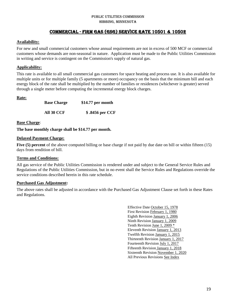# PUBLIC UTILITIES COMMISSION Hibbing, MINNESOTA

# Commercial - FIRM GAS (GSG) SERVICE RATE 10501 & 10502

# **Availability:**

For new and small commercial customers whose annual requirements are not in excess of 500 MCF or commercial customers whose demands are non-seasonal in nature. Application must be made to the Public Utilities Commission in writing and service is contingent on the Commission's supply of natural gas.

# **Applicability:**

This rate is available to all small commercial gas customers for space heating and process use. It is also available for multiple units or for multiple family (5 apartments or more) occupancy on the basis that the minimum bill and each energy block of the rate shall be multiplied by the number of families or residences (whichever is greater) served through a single meter before computing the incremental energy block charges.

# **Rate:**

| <b>Base Charge</b> | \$14.77 per month |
|--------------------|-------------------|
| All 30 CCF         | \$.8456 per CCF   |

# **Base Charge**:

**The base monthly charge shall be \$14.77 per month.**

# **Delayed Payment Charge:**

**Five (5) percent** of the above computed billing or base charge if not paid by due date on bill or within fifteen (15) days from rendition of bill.

# **Terms and Conditions:**

All gas service of the Public Utilities Commission is rendered under and subject to the General Service Rules and Regulations of the Public Utilities Commission, but in no event shall the Service Rules and Regulations override the service conditions described herein in this rate schedule.

# **Purchased Gas Adjustment:**

The above rates shall be adjusted in accordance with the Purchased Gas Adjustment Clause set forth in these Rates and Regulations.

> Effective Date October 15, 1978 First Revision February 1, 1980 Eighth Revision January 1, 2006 Ninth Revision January 1, 2009 Tenth Revision June 1, 2009 \* Eleventh Revision January 1, 2013 Twelfth Revision January 1, 2015 Thirteenth Revision January 1, 2017 Fourteenth Revision July 1, 2017 Fifteenth Revision January 1, 2018 Sixteenth Revision November 1, 2020 All Previous Revisions See Index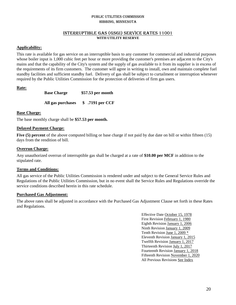# INTERRUPTIBLE GAS (GSGI) SERVICE RATES 11001 **WITH UTILITY RESERVE**

# **Applicability:**

This rate is available for gas service on an interruptible basis to any customer for commercial and industrial purposes whose boiler input is 1,000 cubic feet per hour or more providing the customer's premises are adjacent to the City's mains and that the capability of the City's system and the supply of gas available to it from its supplier is in excess of the requirements of its firm customers. The customer will agree in writing to install, own and maintain complete fuel standby facilities and sufficient standby fuel. Delivery of gas shall be subject to curtailment or interruption whenever required by the Public Utilities Commission for the protection of deliveries of firm gas users.

# **Rate:**

**Base Charge \$57.53 per month All gas purchases \$ .7191 per CCF**

# **Base Charge:**

The base monthly charge shall be **\$57.53 per month.**

# **Delayed Payment Charge:**

**Five (5) percent** of the above computed billing or base charge if not paid by due date on bill or within fifteen (15) days from the rendition of bill.

# **Overrun Charge:**

Any unauthorized overrun of interruptible gas shall be charged at a rate of **\$10.00 per MCF** in addition to the stipulated rate.

# **Terms and Conditions:**

All gas service of the Public Utilities Commission is rendered under and subject to the General Service Rules and Regulations of the Public Utilities Commission, but in no event shall the Service Rules and Regulations override the service conditions described herein in this rate schedule.

# **Purchased Gas Adjustment:**

The above rates shall be adjusted in accordance with the Purchased Gas Adjustment Clause set forth in these Rates and Regulations.

> Effective Date October 15, 1978 First Revision February 1, 1980 Eighth Revision January 1, 2006 Ninth Revision January 1, 2009 Tenth Revision June 1, 2009 \* Eleventh Revision January 1, 2015 Twelfth Revision January 1, 2017 Thirteenth Revision July 1, 2017 Fourteenth Revision January 1, 2018 Fifteenth Revision November 1, 2020 All Previous Revisions See Index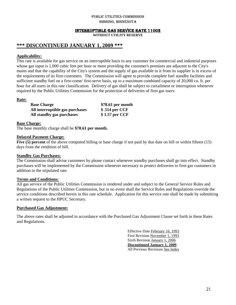#### INTERRUPTIBLE GAS SERVICE RATE 11002

**WITHOUT UTILITY RESERVE** 

# **\*\*\* DISCONTINUED JANUARY 1, 2009 \*\*\***

# **Applicability:**

This rate is available for gas service on an interruptible basis to any customer for commercial and industrial purposes whose gas input is 1,000 cubic feet per hour or more providing the customer's premises are adjacent to the City's mains and that the capability of the City's system and the supply of gas available to it from its supplier is in excess of the requirements of its firm customers. The Commission will agree to provide complete fuel standby facilities and sufficient standby fuel on a first-come/ first-serve basis, up to a maximum combined capacity of 20,000 cu. ft. per hour for all users in this rate classification. Delivery of gas shall be subject to curtailment or interruption whenever required by the Public Utilities Commission for the protection of deliveries of firm gas users.

# **Rate:**

| <b>Base Charge</b>              | \$78.61 per month |
|---------------------------------|-------------------|
| All interruptible gas purchases | \$.514 per CCF    |
| All standby gas purchases       | \$1.57 per CCF    |

**Base Charge:** The base monthly charge shall be **\$78.61 per month.**

# **Delayed Payment Charge:**

**Five (5) percent** of the above computed billing or base charge if not paid by due date on bill or within fifteen (15) days from the rendition of bill.

# **Standby Gas Purchases:**

The Commission shall advise customers by phone contact whenever standby purchases shall go into effect. Standby purchases will be implemented by the Commission whenever necessary to protect deliveries to firm gas customers in addition to the stipulated rate.

# **Terms and Conditions:**

All gas service of the Public Utilities Commission is rendered under and subject to the General Service Rules and Regulations of the Public Utilities Commission, but in no event shall the Service Rules and Regulations override the service conditions described herein in this rate schedule. Application for this service rate shall be made by submitting a written request to the HPUC Secretary.

# **Purchased Gas Adjustment:**

The above rates shall be adjusted in accordance with the Purchased Gas Adjustment Clause set forth in these Rates and Regulations.

> Effective Date February 16, 1993 First Revision November 1, 1993 Sixth Revision January 1, 2006 **Discontinued January 1, 2009** All Previous Revisions See Index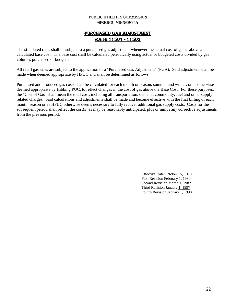# PURCHASED GAS ADJUSTMENT RATE 11501 - 11503

The stipulated rates shall be subject to a purchased gas adjustment whenever the actual cost of gas is above a calculated base cost. The base cost shall be calculated periodically using actual or budgeted costs divided by gas volumes purchased or budgeted.

All retail gas sales are subject to the application of a "Purchased Gas Adjustment" (PGA). Said adjustment shall be made when deemed appropriate by HPUC and shall be determined as follows:

Purchased and produced gas costs shall be calculated for each month or season, summer and winter, or as otherwise deemed appropriate by Hibbing PUC, to reflect changes in the cost of gas above the Base Cost. For these purposes, the "Cost of Gas" shall mean the total cost, including all transportation, demand, commodity, fuel and other supply related charges. Said calculations and adjustments shall be made and become effective with the first billing of each month, season or as HPUC otherwise deems necessary to fully recover additional gas supply costs. Costs for the subsequent period shall reflect the cost(s) as may be reasonably anticipated, plus or minus any corrective adjustments from the previous period.

> Effective Date October 15, 1978 First Revision February 1, 1980 Second Revision March 1, 1982 Third Revision January 1, 1997 Fourth Revision January 1, 1998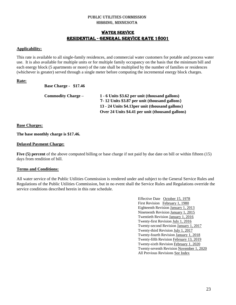# WATER SERVICE RESIDENTIAL - GENERAL SERVICE RATE 18001

# **Applicability:**

This rate is available to all single-family residences, and commercial water customers for potable and process water use. It is also available for multiple units or for multiple family occupancy on the basis that the minimum bill and each energy block (5 apartments or more) of the rate shall be multiplied by the number of families or residences (whichever is greater) served through a single meter before computing the incremental energy block charges.

# **Rate:**

**Base Charge - \$17.46**

| <b>Commodity Charge –</b> | 1 - 6 Units \$3.62 per unit (thousand gallons)   |
|---------------------------|--------------------------------------------------|
|                           | 7-12 Units \$3.87 per unit (thousand gallons)    |
|                           | 13 - 24 Units \$4.13 per unit (thousand gallons) |
|                           | Over 24 Units \$4.41 per unit (thousand gallons) |

# **Base Charges:**

**The base monthly charge is \$17.46.**

# **Delayed Payment Charge:**

**Five (5) percent** of the above computed billing or base charge if not paid by due date on bill or within fifteen (15) days from rendition of bill.

# **Terms and Conditions:**

All water service of the Public Utilities Commission is rendered under and subject to the General Service Rules and Regulations of the Public Utilities Commission, but in no event shall the Service Rules and Regulations override the service conditions described herein in this rate schedule.

> Effective Date October 15, 1978 First Revision February 1, 1980 Eighteenth Revision January 1, 2013 Nineteenth Revision January 1, 2015 Twentieth Revision January 1, 2016 Twenty-first Revision July 1, 2016 Twenty-second Revision January 1, 2017 Twenty-third Revision July 1, 2017 Twenty-fourth Revision January 1, 2018 Twenty-fifth Revision February 13, 2019 Twenty-sixth Revision February 1, 2020 Twenty-seventh Revision November 1, 2020 All Previous Revisions See Index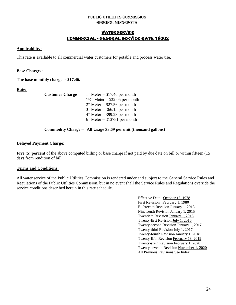# WATER SERVICE COMMERCIAL - GENERAL SERVICE RATE 18002

# **Applicability:**

This rate is available to all commercial water customers for potable and process water use.

# **Base Charges:**

**The base monthly charge is \$17.46.**

# **Rate:**

**Customer Charge** 

| $1"$ Meter = \$17.46 per month             |
|--------------------------------------------|
| $1\frac{1}{2}$ " Meter = \$22.05 per month |
| $2"$ Meter = \$27.56 per month             |
| $3"$ Meter = \$66.15 per month             |
| $4"$ Meter = \$99.23 per month             |
| $6$ " Meter = \$13781 per month            |
|                                            |

# **Commodity Charge – All Usage \$3.69 per unit (thousand gallons)**

# **Delayed Payment Charge:**

**Five (5) percent** of the above computed billing or base charge if not paid by due date on bill or within fifteen (15) days from rendition of bill.

# **Terms and Conditions:**

All water service of the Public Utilities Commission is rendered under and subject to the General Service Rules and Regulations of the Public Utilities Commission, but in no event shall the Service Rules and Regulations override the service conditions described herein in this rate schedule.

> Effective Date October 15, 1978 First Revision February 1, 1980 Eighteenth Revision January 1, 2013 Nineteenth Revision January 1, 2015 Twentieth Revision January 1, 2016 Twenty-first Revision July 1, 2016 Twenty-second Revision January 1, 2017 Twenty-third Revision July 1, 2017 Twenty-fourth Revision January 1, 2018 Twenty-fifth Revision February 13, 2019 Twenty-sixth Revision February 1, 2020 Twenty-seventh Revision November 1, 2020 All Previous Revisions See Index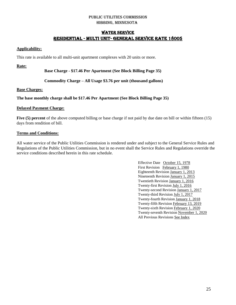# WATER SERVICE Residential - Multi Unit- GENERAL SERVICE RATE 18005

# **Applicability:**

This rate is available to all multi-unit apartment complexes with 20 units or more.

**Rate:**

**Base Charge - \$17.46 Per Apartment (See Block Billing Page 35)**

# **Commodity Charge – All Usage \$3.76 per unit (thousand gallons)**

# **Base Charges:**

# **The base monthly charge shall be \$17.46 Per Apartment (See Block Billing Page 35)**

# **Delayed Payment Charge:**

**Five (5) percent** of the above computed billing or base charge if not paid by due date on bill or within fifteen (15) days from rendition of bill.

# **Terms and Conditions:**

All water service of the Public Utilities Commission is rendered under and subject to the General Service Rules and Regulations of the Public Utilities Commission, but in no event shall the Service Rules and Regulations override the service conditions described herein in this rate schedule.

> Effective Date October 15, 1978 First Revision February 1, 1980 Eighteenth Revision January 1, 2013 Nineteenth Revision January 1, 2015 Twentieth Revision January 1, 2016 Twenty-first Revision July 1, 2016 Twenty-second Revision January 1, 2017 Twenty-third Revision July 1, 2017 Twenty-fourth Revision January 1, 2018 Twenty-fifth Revision February 13, 2019 Twenty-sixth Revision February 1, 2020 Twenty-seventh Revision November 1, 2020 All Previous Revisions See Index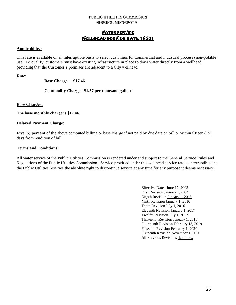# WATER SERVICE WELLHEAD SERVICE RATE 18501

# **Applicability:**

This rate is available on an interruptible basis to select customers for commercial and industrial process (non-potable) use. To qualify, customers must have existing infrastructure in place to draw water directly from a wellhead, providing that the Customer's premises are adjacent to a City wellhead.

# **Rate:**

**Base Charge - \$17.46**

# **Commodity Charge - \$1.57 per thousand gallons**

# **Base Charges:**

**The base monthly charge is \$17.46.**

# **Delayed Payment Charge:**

**Five (5) percent** of the above computed billing or base charge if not paid by due date on bill or within fifteen (15) days from rendition of bill.

# **Terms and Conditions:**

All water service of the Public Utilities Commission is rendered under and subject to the General Service Rules and Regulations of the Public Utilities Commission. Service provided under this wellhead service rate is interruptible and the Public Utilities reserves the absolute right to discontinue service at any time for any purpose it deems necessary.

> Effective Date June 17, 2003 First Revision January 1, 2004 Eighth Revision January 1, 2015 Ninth Revision January 1, 2016 Tenth Revision July 1, 2016 Eleventh Revision January 1, 2017 Twelfth Revision July 1, 2017 Thirteenth Revision January 1, 2018 Fourteenth Revision February 13, 2019 Fifteenth Revision February 1, 2020 Sixteenth Revision November 1, 2020 All Previous Revisions See Index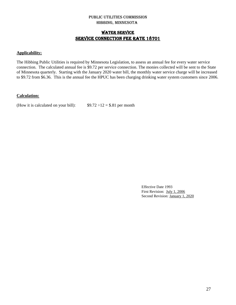# WATER SERVICE SERVICE CONNECTION FEE RATE 18701

# **Applicability:**

The Hibbing Public Utilities is required by Minnesota Legislation, to assess an annual fee for every water service connection. The calculated annual fee is \$9.72 per service connection. The monies collected will be sent to the State of Minnesota quarterly. Starting with the January 2020 water bill, the monthly water service charge will be increased to \$9.72 from \$6.36. This is the annual fee the HPUC has been charging drinking water system customers since 2006.

# **Calculation:**

(How it is calculated on your bill):  $$9.72 \div 12 = $.81$  per month

Effective Date 1993 First Revision: July 1, 2006 Second Revision: January 1, 2020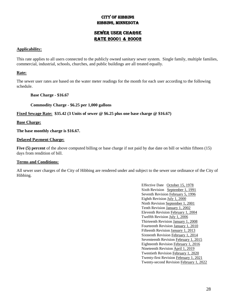# City of Hibbing Hibbing, Minnesota

# Sewer User Charge RATE 20001 & 20002

# **Applicability:**

This rate applies to all users connected to the publicly owned sanitary sewer system. Single family, multiple families, commercial, industrial, schools, churches, and public buildings are all treated equally.

# **Rate:**

The sewer user rates are based on the water meter readings for the month for each user according to the following schedule.

**Base Charge - \$16.67**

**Commodity Charge - \$6.25 per 1,000 gallons**

**Fixed Sewage Rate: \$35.42 (3 Units of sewer @ \$6.25 plus one base charge @ \$16.67)**

**Base Charge:**

**The base monthly charge is \$16.67.**

# **Delayed Payment Charge:**

**Five (5) percent** of the above computed billing or base charge if not paid by due date on bill or within fifteen (15) days from rendition of bill.

# **Terms and Conditions:**

All sewer user charges of the City of Hibbing are rendered under and subject to the sewer use ordinance of the City of Hibbing.

> Effective Date October 15, 1978 Sixth Revision September 1, 1991 Seventh Revision February 5, 1996 Eighth Revision July 1, 2000 Ninth Revision September 1, 2001 Tenth Revision January 1, 2002 Eleventh Revision February 1, 2004 Twelfth Revision July 1, 2006 Thirteenth Revision January 1, 2008 Fourteenth Revision January 1, 2010 Fifteenth Revision January 1, 2013 Sixteenth Revision February 1, 2014 Seventeenth Revision February 1, 2015 Eighteenth Revision February 1, 2016 Nineteenth Revision April 1, 2019 Twentieth Revision February 1, 2020 Twenty-first Revision February 1, 2021 Twenty-second Revision February 1, 2022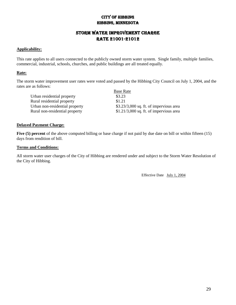# City of Hibbing Hibbing, Minnesota

# Storm Water Improvement Charge RATE 21001-21012

# **Applicability:**

This rate applies to all users connected to the publicly owned storm water system. Single family, multiple families, commercial, industrial, schools, churches, and public buildings are all treated equally.

# **Rate:**

The storm water improvement user rates were voted and passed by the Hibbing City Council on July 1, 2004, and the rates are as follows:

Base Rate Urban residential property \$3.23 Rural residential property \$1.21 Urban non-residential property  $$3.23/3,000$  sq. ft. of impervious area Rural non-residential property \$1.21/3,000 sq. ft. of impervious area

# **Delayed Payment Charge:**

**Five (5) percent** of the above computed billing or base charge if not paid by due date on bill or within fifteen (15) days from rendition of bill.

# **Terms and Conditions:**

All storm water user charges of the City of Hibbing are rendered under and subject to the Storm Water Resolution of the City of Hibbing.

Effective Date July 1, 2004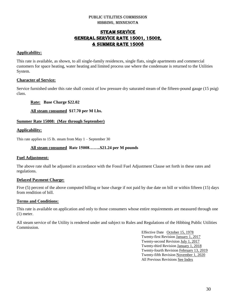# STEAM SERVICE GENERAL SERVICE RATE 15001, 15002, & Summer rate 15008

# **Applicability:**

This rate is available, as shown, to all single-family residences, single flats, single apartments and commercial customers for space heating, water heating and limited process use where the condensate is returned to the Utilities System.

# **Character of Service:**

Service furnished under this rate shall consist of low pressure dry saturated steam of the fifteen-pound gauge (15 psig) class.

**Rate: Base Charge \$22.02**

**All steam consumed \$17.70 per M Lbs.**

# **Summer Rate 15008: (May through September)**

# **Applicability:**

This rate applies to 15 lb. steam from May 1 – September 30

# **All steam consumed Rate 15008……..\$21.24 per M pounds**

# **Fuel Adjustment:**

The above rate shall be adjusted in accordance with the Fossil Fuel Adjustment Clause set forth in these rates and regulations.

# **Delayed Payment Charge:**

Five (5) percent of the above computed billing or base charge if not paid by due date on bill or within fifteen (15) days from rendition of bill.

# **Terms and Conditions:**

This rate is available on application and only to those consumers whose entire requirements are measured through one (1) meter.

All steam service of the Utility is rendered under and subject to Rules and Regulations of the Hibbing Public Utilities Commission.

> Effective Date October 15, 1978 Twenty-first Revision January 1, 2017 Twenty-second Revision July 1, 2017 Twenty-third Revision January 1, 2018 Twenty-fourth Revision February 13, 2019 Twenty-fifth Revision November 1, 2020 All Previous Revisions See Index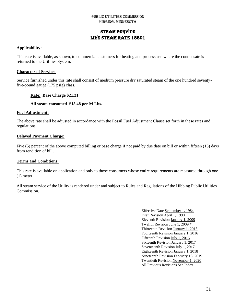# STEAM SERVICE LIVE STEAM RATE 15501

# **Applicability:**

This rate is available, as shown, to commercial customers for heating and process use where the condensate is returned to the Utilities System.

# **Character of Service:**

Service furnished under this rate shall consist of medium pressure dry saturated steam of the one hundred seventyfive-pound gauge (175 psig) class.

# **Rate: Base Charge \$21.21**

# **All steam consumed \$15.48 per M Lbs.**

# **Fuel Adjustment:**

The above rate shall be adjusted in accordance with the Fossil Fuel Adjustment Clause set forth in these rates and regulations.

# **Delayed Payment Charge:**

Five (5) percent of the above computed billing or base charge if not paid by due date on bill or within fifteen (15) days from rendition of bill.

# **Terms and Conditions:**

This rate is available on application and only to those consumers whose entire requirements are measured through one (1) meter.

All steam service of the Utility is rendered under and subject to Rules and Regulations of the Hibbing Public Utilities Commission.

> Effective Date September 1, 1984 First Revision April 1, 1990 Eleventh Revision January 1, 2009 Twelfth Revision June 1, 2009 \* Thirteenth Revision January 1, 2015 Fourteenth Revision January 1, 2016 Fifteenth Revision July 1, 2016 Sixteenth Revision January 1, 2017 Seventeenth Revision July 1, 2017 Eighteenth Revision January 1, 2018 Nineteenth Revision February 13, 2019 Twentieth Revision November 1, 2020 All Previous Revisions See Index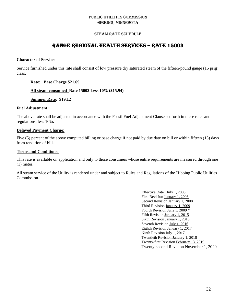# STEAM RATE SCHEDULE

# RANGE REGIONAL HEALTH SERVICES – RATE 15003

# **Character of Service:**

Service furnished under this rate shall consist of low pressure dry saturated steam of the fifteen-pound gauge (15 psig) class.

# **Rate: Base Charge \$21.69**

#### **All steam consumed Rate 15002 Less 10% (\$15.94)**

**Summer Rate: \$19.12**

#### **Fuel Adjustment:**

The above rate shall be adjusted in accordance with the Fossil Fuel Adjustment Clause set forth in these rates and regulations, less 10%.

# **Delayed Payment Charge:**

Five (5) percent of the above computed billing or base charge if not paid by due date on bill or within fifteen (15) days from rendition of bill.

# **Terms and Conditions:**

This rate is available on application and only to those consumers whose entire requirements are measured through one (1) meter.

All steam service of the Utility is rendered under and subject to Rules and Regulations of the Hibbing Public Utilities Commission.

> Effective Date July 1, 2005 First Revision January 1, 2006 Second Revision January 1, 2008 Third Revision January 1, 2009 Fourth Revision June 1, 2009 \* Fifth Revision January 1, 2015 Sixth Revision January 1, 2016 Seventh Revision July 1, 2016 Eighth Revision January 1, 2017 Ninth Revision July 1, 2017 Twentieth Revision January 1, 2018 Twenty-first Revision February 13, 2019 Twenty-second Revision November 1, 2020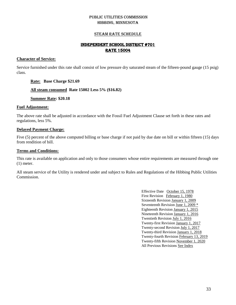# STEAM RATE SCHEDULE

# INDEPENDENT SCHOOL DISTRICT #701 RATE 15004

#### **Character of Service:**

Service furnished under this rate shall consist of low pressure dry saturated steam of the fifteen-pound gauge (15 psig) class.

# **Rate: Base Charge \$21.69**

# **All steam consumed Rate 15002 Less 5% (\$16.82)**

# **Summer Rate: \$20.18**

# **Fuel Adjustment:**

The above rate shall be adjusted in accordance with the Fossil Fuel Adjustment Clause set forth in these rates and regulations, less 5%.

# **Delayed Payment Charge:**

Five (5) percent of the above computed billing or base charge if not paid by due date on bill or within fifteen (15) days from rendition of bill.

#### **Terms and Conditions:**

This rate is available on application and only to those consumers whose entire requirements are measured through one (1) meter.

All steam service of the Utility is rendered under and subject to Rules and Regulations of the Hibbing Public Utilities Commission.

> Effective Date October 15, 1978 First Revision February 1, 1980 Sixteenth Revision January 1, 2009 Seventeenth Revision June 1, 2009 \* Eighteenth Revision January 1, 2015 Nineteenth Revision January 1, 2016 Twentieth Revision July 1, 2016 Twenty-first Revision January 1, 2017 Twenty-second Revision July 1, 2017 Twenty-third Revision January 1, 2018 Twenty-fourth Revision February 13, 2019 Twenty-fifth Revision November 1, 2020 All Previous Revisions See Index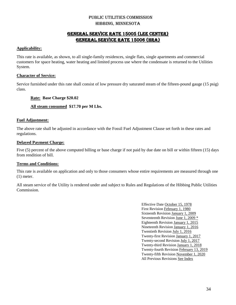# GENERAL SERVICE RATE 15005 (Lee Center) GENERAL SERVICE RATE 15006 (HRA)

# **Applicability:**

This rate is available, as shown, to all single-family residences, single flats, single apartments and commercial customers for space heating, water heating and limited process use where the condensate is returned to the Utilities System.

# **Character of Service:**

Service furnished under this rate shall consist of low pressure dry saturated steam of the fifteen-pound gauge (15 psig) class.

# **Rate: Base Charge \$20.02**

# **All steam consumed \$17.70 per M Lbs.**

# **Fuel Adjustment:**

The above rate shall be adjusted in accordance with the Fossil Fuel Adjustment Clause set forth in these rates and regulations.

# **Delayed Payment Charge:**

Five (5) percent of the above computed billing or base charge if not paid by due date on bill or within fifteen (15) days from rendition of bill.

# **Terms and Conditions:**

This rate is available on application and only to those consumers whose entire requirements are measured through one (1) meter.

All steam service of the Utility is rendered under and subject to Rules and Regulations of the Hibbing Public Utilities Commission.

> Effective Date October 15, 1978 First Revision February 1, 1980 Sixteenth Revision January 1, 2009 Seventeenth Revision June 1, 2009 \* Eighteenth Revision January 1, 2015 Nineteenth Revision January 1, 2016 Twentieth Revision July 1, 2016 Twenty-first Revision January 1, 2017 Twenty-second Revision July 1, 2017 Twenty-third Revision January 1, 2018 Twenty-fourth Revision February 13, 2019 Twenty-fifth Revision November 1, 2020 All Previous Revisions See Index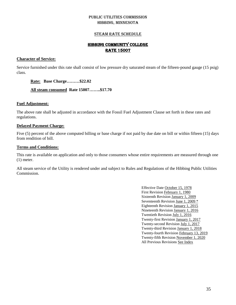# STEAM RATE SCHEDULE

# HIBBING COMMUNITY COLLEGE RATE 15007

# **Character of Service:**

Service furnished under this rate shall consist of low pressure dry saturated steam of the fifteen-pound gauge (15 psig) class.

# **Rate: Base Charge………\$22.02**

# **All steam consumed Rate 15007……..\$17.70**

# **Fuel Adjustment:**

The above rate shall be adjusted in accordance with the Fossil Fuel Adjustment Clause set forth in these rates and regulations.

# **Delayed Payment Charge:**

Five (5) percent of the above computed billing or base charge if not paid by due date on bill or within fifteen (15) days from rendition of bill.

# **Terms and Conditions:**

This rate is available on application and only to those consumers whose entire requirements are measured through one (1) meter.

All steam service of the Utility is rendered under and subject to Rules and Regulations of the Hibbing Public Utilities Commission.

> Effective Date October 15, 1978 First Revision February 1, 1980 Sixteenth Revision January 1, 2009 Seventeenth Revision June 1, 2009 \* Eighteenth Revision January 1, 2015 Nineteenth Revision January 1, 2016 Twentieth Revision July 1, 2016 Twenty-first Revision January 1, 2017 Twenty-second Revision July 1, 2017 Twenty-third Revision January 1, 2018 Twenty-fourth Revision February 13, 2019 Twenty-fifth Revision November 1, 2020 All Previous Revisions See Index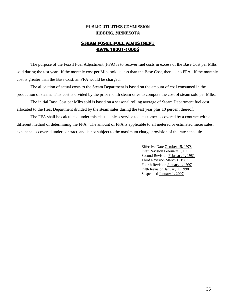# STEAM FOSSIL FUEL ADJUSTMENT RATE 16001-16005

The purpose of the Fossil Fuel Adjustment (FFA) is to recover fuel costs in excess of the Base Cost per Mlbs sold during the test year. If the monthly cost per Mlbs sold is less than the Base Cost, there is no FFA. If the monthly cost is greater than the Base Cost, an FFA would be charged.

The allocation of actual costs to the Steam Department is based on the amount of coal consumed in the production of steam. This cost is divided by the prior month steam sales to compute the cost of steam sold per Mlbs.

The initial Base Cost per Mlbs sold is based on a seasonal rolling average of Steam Department fuel cost allocated to the Heat Department divided by the steam sales during the test year plus 10 percent thereof.

The FFA shall be calculated under this clause unless service to a customer is covered by a contract with a different method of determining the FFA. The amount of FFA is applicable to all metered or estimated meter sales, except sales covered under contract, and is not subject to the maximum charge provision of the rate schedule.

> Effective Date October 15, 1978 First Revision February 1, 1980 Second Revision February 1, 1981 Third Revision March 1, 1982 Fourth Revision January 1, 1997 Fifth Revision January 1, 1998 Suspended January 1, 2007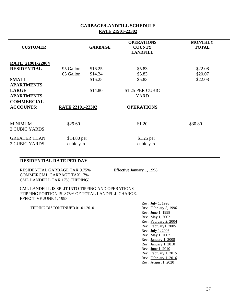#### **CUSTOMER GARBAGE OPERATIONS COUNTY LANDFILL MONTHLY TOTAL RATE 21901-22004 RESIDENTIAL** 95 Gallon \$16.25 \$5.83 \$22.08 65 Gallon \$14.24 \$5.83 \$20.07 **SMALL APARTMENTS**  $$16.25$   $$5.83$   $$22.08$ **LARGE APARTMENTS** \$14.80 \$1.25 PER CUBIC YARD **COMMERCIAL ACCOUNTS: RATE 22101-22302 OPERATIONS** MINIMUM 2 CUBIC YARDS  $$29.60$   $$1.20$   $$30.80$ GREATER THAN 2 CUBIC YARDS \$14.80 per cubic yard \$1.25 per cubic yard

# **GARBAGE/LANDFILL SCHEDULE RATE 21901-22302**

# **RESIDENTIAL RATE PER DAY**

 RESIDENTIAL GARBAGE TAX 9.75% Effective January 1, 1998 COMMERCIAL GARBAGE TAX 17% CML LANDFILL TAX 17% (TIPPING)

 CML LANDFILL IS SPLIT INTO TIPPING AND OPERATIONS \*TIPPING PORTION IS .876% OF TOTAL LANDFILL CHARGE. EFFECTIVE JUNE 1, 1998.

TIPPING DISCONTINUED 01-01-2010

Rev. July 1, 1993<br>Rev. February 5, 1996 Rev. June 1, 1998 Rev. May 1, 2002 Rev. February 2, 2004 Rev. February1, 2005 Rev. July 1, 2006 Rev. May 1, 2007 Rev. January 1, 2008 Rev. January 1, 2010 Rev. June 1, 2010 Rev. February 1, 2015 Rev. February 1, 2016 Rev. August 1, 2020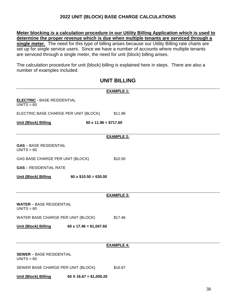# **2022 UNIT (BLOCK) BASE CHARGE CALCULATIONS**

**Meter blocking is a calculation procedure in our Utility Billing Application which is used to determine the proper revenue which is due when multiple tenants are serviced through a single meter**. The need for this type of billing arises because our Utility Billing rate charts are set up for single service users. Since we have a number of accounts where multiple tenants are serviced through a single meter, the need for unit (block) billing arises.

The calculation procedure for unit (block) billing is explained here in steps. There are also a number of examples included.

# **UNIT BILLING**

|                                                    |                               | <b>EXAMPLE 1:</b> |
|----------------------------------------------------|-------------------------------|-------------------|
| <b>ELECTRIC</b> - BASE RESIDENTIAL<br>$UNITS = 60$ |                               |                   |
| ELECTRIC BASE CHARGE PER UNIT (BLOCK)              |                               | \$11.96           |
| <b>Unit (Block) Billing</b>                        | $60 \times 11.96 = $717.60$   |                   |
|                                                    |                               | <b>EXAMPLE 2:</b> |
| <b>GAS</b> - BASE RESIDENTIAL<br>$UNITS = 60$      |                               |                   |
| GAS BASE CHARGE PER UNIT (BLOCK)                   |                               | \$10.50           |
| <b>GAS</b> - RESIDENTIAL RATE                      |                               |                   |
| <b>Unit (Block) Billing</b>                        | $60 \times $10.50 = 630.00$   |                   |
|                                                    |                               |                   |
|                                                    |                               | <b>EXAMPLE 3:</b> |
| <b>WATER - BASE RESIDENTIAL</b><br>$UNITS = 60$    |                               |                   |
| WATER BASE CHARGE PER UNIT (BLOCK)                 |                               | \$17.46           |
| <b>Unit (Block) Billing</b>                        | $60 \times 17.46 = $1,047.60$ |                   |
|                                                    |                               |                   |
|                                                    |                               | <b>EXAMPLE 4:</b> |
| <b>SEWER - BASE RESIDENTIAL</b><br>$UNITS = 60$    |                               |                   |
| SEWER BASE CHARGE PER UNIT (BLOCK)                 |                               | \$16.67           |
| <b>Unit (Block) Billing</b>                        | $60 X 16.67 = $1,000.20$      |                   |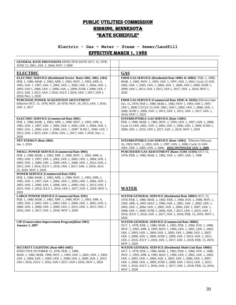# PUBLIC UTILITIES COMMISSION HIBBING, MINNESOTA \*RATE SCHEDULE\*

# **Electric - Gas – Water - Steam – Sewer/Landfill** Effective March 1, 1982

| <b>GENERAL RATE PROVISIONS EFFECTIVE DATE OCT. 15, 1978;</b><br>JUNE 12, 2001; JAN. 1, 2004; NOV. 1 2009                                                                                                                                                                                                                                                                  |                                                                                                                                                                                                                                                                                                                                                                                                                                                             |
|---------------------------------------------------------------------------------------------------------------------------------------------------------------------------------------------------------------------------------------------------------------------------------------------------------------------------------------------------------------------------|-------------------------------------------------------------------------------------------------------------------------------------------------------------------------------------------------------------------------------------------------------------------------------------------------------------------------------------------------------------------------------------------------------------------------------------------------------------|
| <b>ELECTRIC</b>                                                                                                                                                                                                                                                                                                                                                           | <b>GAS</b>                                                                                                                                                                                                                                                                                                                                                                                                                                                  |
| ELECTRIC SERVICE (Residential Service Rates 1001, 1002, 1203)<br>FEB. 1, 1980; MAR. 1, 1982; APR. 1, 1992; NOV. 1, 1993; APR. 4,<br>1995; JAN. 1, 1997; JAN. 1, 2002; JAN. 1, 2003; JAN. 1, 2004; JAN. 1,<br>2005; JAN 1, 2006; JAN. 1, 2008; JAN. 1, 2009; JUNE 1 2009; JAN. 1<br>2013; JAN. 1 2015; JAN. 1 2016; JULY 1 2016; JAN. 1 2017; JAN 1,<br>2018; Nov. 1, 2020 | FIRM GAS SERVICE (Residential Rate 10001 & 10002) FEB. 1, 1980;<br>MAR. 1, 1982; NOV. 1, 1993; JAN. 1, 1997; JAN. 1, 2001; Cycle 12-JAN.<br>2002; JAN. 1, 2005; JAN. 1, 2006; JAN. 1, 2009; JAN 1, 2009; JUNE 1,<br>2009; JAN 1, 2013; JAN. 1 2015; JAN 1, 2017; JAN. 1, 2018; NOV 1,<br>2020                                                                                                                                                               |
| PURCHASE POWER ACQUISITION ADJUSTMENT<br>Effective OCT. 15, 1978; NOV. 20 1978; NOV. 10, 2015; JAN. 1 2016;<br>JAN. 1, 2017                                                                                                                                                                                                                                               | FIRM GAS SERVICE (Commercial Rate 10501 & 10502) Effective date<br>Oct. 15, 1978; FEB 1, 1980; MAR 1, 1982; NOV 1, 1993; JAN 1, 1997;<br>JAN 1, 2000; CYCLE 12-JAN. 2001; JAN 1, 2005; JAN. 1, 2006; JAN. 1,<br>2009; JUNE 1, 2009; JAN. 1, 2013; JAN. 1, 2015; JAN. 1, 2017; JAN. 1,<br>2018; NOV 1, 2020                                                                                                                                                  |
| <b>ELECTRIC SERVICE (Commercial Rate 2001)</b><br>FEB. 1, 1980; MAR. 1, 1982; APR. 1, 1990; NOV. 1, 1993; APR. 4,<br>1995; JAN. 1, 1997; JAN. 1, 2002; JAN. 1, 2003; JAN. 1, 2004; JAN. 1,<br>2005; JAN. 1, 2006; JAN. 1, 2008; JAN. 1, 2009" JUNE 1, 2009; JAN. 1<br>2013; JAN. 1 2015; JAN. 1 2016; JAN. 1, 2017; JAN. 1 2018; Nov. 1,<br>2020                          | <b>INTERRUPTIBLE GAS SERVICE (Rate 11001)</b><br>FEB. 1, 1980; MAR. 1, 1982; NOV. 1, 1993; JAN. 1, 1997; JAN. 1, 2000;<br>Cycle 12-JAN. 2001; JAN. 1, 2005; JAN. 1, 2006; JAN. 1, 2009; JUNE 1,<br>2009; JAN. 1, 2015; JAN 1, 2017; JAN. 1, 2018; NOV 1, 2020                                                                                                                                                                                               |
| <b>NET ENERGY (Rate 2002)</b><br>Jan. 1, 2010                                                                                                                                                                                                                                                                                                                             | <b>INTERRUPTIBLE GAS SERVICE (Rate 11002)</b> Effective February<br>16, 1993; NOV. 1, 1993; JAN. 1, 1997; JAN. 1, 2000; Cycle 12-JAN.<br>2001; JAN. 1, 2005; JAN. 1, 2006; DISCONTINUED JAN. 1, 2009                                                                                                                                                                                                                                                        |
| <b>SMALL POWER SERVICE (Commercial Rate 3001)</b><br>FEB. 1, 1980; MAR. 1, 1982; APR. 1, 1990; NOV. 1, 1993; APR. 4,<br>1995; JAN. 1, 1997; JAN. 1, 2002; JAN. 1, 2003; JAN. 1, 2004; JAN. 1,<br>2005; JAN. 1, 2006; JAN. 1, 2008; JAN. 1, 2009; JAN. 1, 2013; JAN. 1,<br>2015; JAN. 1 2016; JULY 1, 2016; JAN. 1 2017; JAN. 1, 2018; AUG<br>25, 2020; NOV 1, 2020        | PURCHASED GAS ADJUSTMENT (Rates 11501-11503) OCT 15,<br>1978; FEB. 1, 1980; MAR. 1, 1982; JAN. 1, 1997; JAN. 1, 1998                                                                                                                                                                                                                                                                                                                                        |
| <b>POWER SERVICE (Commercial Rate 2501)</b><br>FEB. 1, 1980; MAR. 1, 1982; APR. 1, 1990; NOV. 1, 1993; APR. 1,<br>1995; JAN. 1, 1997; JAN. 1, 2002; JAN. 1, 2003; JAN. 1, 2004; JAN. 1,<br>2005; JAN. 1, 2006; JAN. 1, 2008; JAN. 1, 2009; JAN. 1, 2013; JAN. 1<br>2015; JAN. 1, 2016; JULY 1, 2016; JAN 1, 2017; JAN. 1, 2018; NOV 1,<br>2020                            | <b>WATER</b>                                                                                                                                                                                                                                                                                                                                                                                                                                                |
| <b>LARGE POWER SERVICE (Commercial Rate 3501)</b><br>FEB. 1, 1980; MAR. 1, 1982; APR. 1, 1990; NOV. 1, 1993; APR. 4,<br>1995; JAN. 1, 2002; JAN. 1, 2003; JAN. 1, 2004; JAN. 1, 2005; JAN. 1,<br>2006; JAN. 1, 2008; JAN. 1, 2009; JAN. 1, 2013; JAN. 1, 2015; JAN. 1<br>2016; JAN. 1, 2017; JAN. 1, 2018; NOV 1, 2020                                                    | WATER-GENERAL SERVICE (Residential Rate 18001) OCT. 15,<br>1978; FEB. 1, 1980; MAR. 1, 1982; FEB. 1, 1984; JUN. 1, 1988; NOV. 1,<br>1993; APR. 4, 1995; MAY 1, 1996; JAN. 1, 2001; JAN. 1, 2002; JAN. 1,<br>2003; JAN. 1, 2004; JAN. 1, 2005; JAN. 1, 2006; JAN. 1, 2007; JAN. 1,<br>2008; JAN. 1, 2009; JUNE 1, 2009; JAN. 1 2013; JAN. 1, 2015; JAN. 1,<br>2016; JULY 1, 2016; JAN. 1, 2017; JAN. 1, 2018; FEB. 13, 2019; NOV 1,<br>2020                  |
| CIP (Conservation Improvement Program)(Rate 5901)<br><b>January 1, 2007</b>                                                                                                                                                                                                                                                                                               | <b>WATER-GENERAL SERVICE (Commercial Rate 18002)</b><br>OCT. 1, 1978; FEB. 1, 1980; MAR. 1, 1982; FEB. 1, 1984; JUN. 1, 1988;<br>NOV. 1, 1993; APR. 4, 1995; MAY 1, 1996; JAN. 1, 2001; JAN. 1, 2002;<br>JAN. 1, 2003; JAN. 1, 2004; JAN. 1, 2005; JAN. 1, 2006; JAN. 1, 2007;<br>JAN. 1, 2008; JAN. 1, 2009; JUNE 1, 2009; JAN. 1 2013; JAN. 1, 2015;<br>JAN. 1, 2016; JULY 1, 2016; JAN. 1, 2017; JAN. 1, 2018; FEB. 13, 2019;<br>NOV 1, 2020             |
| <b>SECURITY LIGHTING (Rate 6001-6402)</b><br>EFFECTIVE OCTOBER 15, 1978; FEB. 1, 1980;<br>MAR. 1, 1982; MAR. 1990; NOV. 1, 1993; JAN. 1, 2002; JAN. 1, 2003;<br>JAN. 1, 2004; JAN. 1, 2005; JAN. 1, 2008; JAN. 1, 2009; JAN. 1, 2015;<br>JAN 1 2016; JULY 1, 2016; JAN 1 2017; JAN 1 2018; NOV 1, 2020                                                                    | <b>WATER-GENERAL SERVICE (Residential Multi-Unit Rate 18005)</b><br>OCT. 1, 1978; FEB. 1, 1980; MAR. 1, 1982; FEB. 1, 1984; JUN. 1, 1988;<br>NOV. 1, 1993; APR. 4, 1995; MAY 1, 1996; JAN. 1, 2001; JAN. 1, 2002;<br>JAN. 1, 2003; JAN. 1, 2004; JAN. 1, 2005; JAN. 1, 2006; JAN. 1, 2007;<br>JAN. 1, 2008; JAN. 1, 2009; JUNE 1, 2009; JAN. 1 2013; JAN. 1, 2015;<br>JAN. 1, 2016; JULY 1, 2016; JAN. 1, 2017; JAN. 1, 2018; FEB. 13, 2019;<br>NOV 1, 2020 |